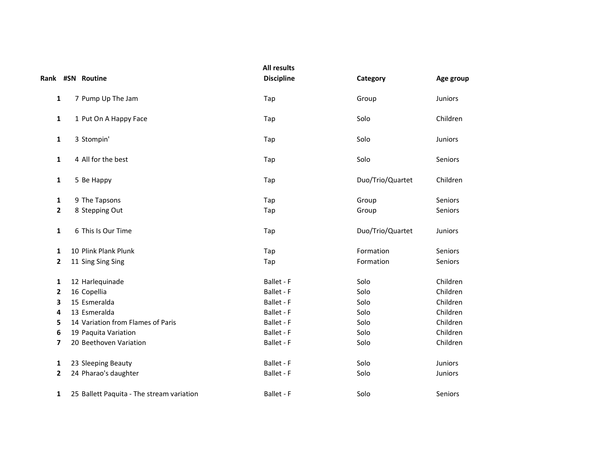|                | Rank #SN Routine                          | <b>All results</b><br><b>Discipline</b> | Category         | Age group      |
|----------------|-------------------------------------------|-----------------------------------------|------------------|----------------|
| 1              | 7 Pump Up The Jam                         | Tap                                     | Group            | Juniors        |
| 1              | 1 Put On A Happy Face                     | Tap                                     | Solo             | Children       |
| $\mathbf{1}$   | 3 Stompin'                                | Tap                                     | Solo             | <b>Juniors</b> |
| 1              | 4 All for the best                        | Tap                                     | Solo             | Seniors        |
| $\mathbf{1}$   | 5 Be Happy                                | Tap                                     | Duo/Trio/Quartet | Children       |
| 1              | 9 The Tapsons                             | Tap                                     | Group            | Seniors        |
| $\overline{2}$ | 8 Stepping Out                            | Tap                                     | Group            | Seniors        |
| 1              | 6 This Is Our Time                        | Tap                                     | Duo/Trio/Quartet | Juniors        |
| 1              | 10 Plink Plank Plunk                      | Tap                                     | Formation        | Seniors        |
| 2              | 11 Sing Sing Sing                         | Tap                                     | Formation        | Seniors        |
| 1              | 12 Harlequinade                           | Ballet - F                              | Solo             | Children       |
| 2              | 16 Copellia                               | Ballet - F                              | Solo             | Children       |
| 3              | 15 Esmeralda                              | Ballet - F                              | Solo             | Children       |
| 4              | 13 Esmeralda                              | Ballet - F                              | Solo             | Children       |
| 5              | 14 Variation from Flames of Paris         | Ballet - F                              | Solo             | Children       |
| 6              | 19 Paquita Variation                      | Ballet - F                              | Solo             | Children       |
| 7              | 20 Beethoven Variation                    | Ballet - F                              | Solo             | Children       |
| 1              | 23 Sleeping Beauty                        | Ballet - F                              | Solo             | Juniors        |
| 2              | 24 Pharao's daughter                      | Ballet - F                              | Solo             | Juniors        |
| $\mathbf{1}$   | 25 Ballett Paquita - The stream variation | Ballet - F                              | Solo             | Seniors        |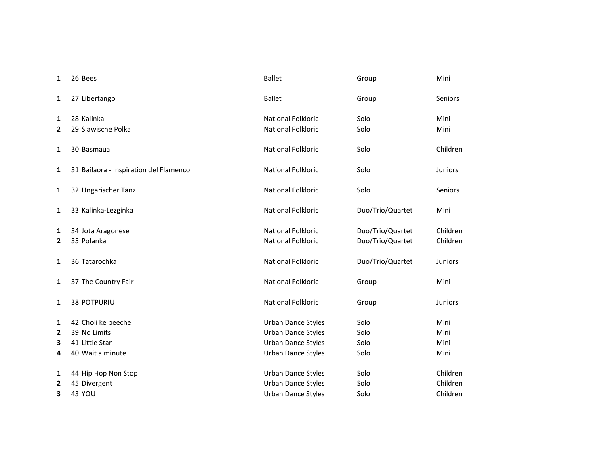| 1              | 26 Bees                                | <b>Ballet</b>             | Group            | Mini           |
|----------------|----------------------------------------|---------------------------|------------------|----------------|
| 1              | 27 Libertango                          | <b>Ballet</b>             | Group            | Seniors        |
| 1              | 28 Kalinka                             | <b>National Folkloric</b> | Solo             | Mini           |
| $\overline{2}$ | 29 Slawische Polka                     | <b>National Folkloric</b> | Solo             | Mini           |
| 1              | 30 Basmaua                             | National Folkloric        | Solo             | Children       |
| 1              | 31 Bailaora - Inspiration del Flamenco | <b>National Folkloric</b> | Solo             | <b>Juniors</b> |
| 1              | 32 Ungarischer Tanz                    | <b>National Folkloric</b> | Solo             | Seniors        |
| 1              | 33 Kalinka-Lezginka                    | <b>National Folkloric</b> | Duo/Trio/Quartet | Mini           |
| 1              | 34 Jota Aragonese                      | <b>National Folkloric</b> | Duo/Trio/Quartet | Children       |
| $\overline{2}$ | 35 Polanka                             | <b>National Folkloric</b> | Duo/Trio/Quartet | Children       |
| 1              | 36 Tatarochka                          | National Folkloric        | Duo/Trio/Quartet | Juniors        |
| 1              | 37 The Country Fair                    | <b>National Folkloric</b> | Group            | Mini           |
| 1              | <b>38 POTPURIU</b>                     | <b>National Folkloric</b> | Group            | <b>Juniors</b> |
| 1              | 42 Choli ke peeche                     | Urban Dance Styles        | Solo             | Mini           |
| 2              | 39 No Limits                           | Urban Dance Styles        | Solo             | Mini           |
| 3              | 41 Little Star                         | Urban Dance Styles        | Solo             | Mini           |
| 4              | 40 Wait a minute                       | <b>Urban Dance Styles</b> | Solo             | Mini           |
| 1              | 44 Hip Hop Non Stop                    | Urban Dance Styles        | Solo             | Children       |
| $\mathbf{2}$   | 45 Divergent                           | Urban Dance Styles        | Solo             | Children       |
| 3              | <b>43 YOU</b>                          | Urban Dance Styles        | Solo             | Children       |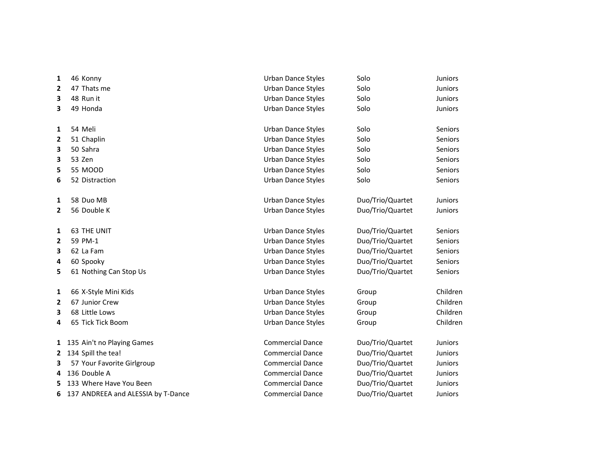| 1            | 46 Konny                           | Urban Dance Styles        | Solo             | <b>Juniors</b> |
|--------------|------------------------------------|---------------------------|------------------|----------------|
| 2            | 47 Thats me                        | Urban Dance Styles        | Solo             | Juniors        |
| 3            | 48 Run it                          | Urban Dance Styles        | Solo             | Juniors        |
| 3            | 49 Honda                           | Urban Dance Styles        | Solo             | Juniors        |
|              |                                    |                           |                  |                |
| 1            | 54 Meli                            | <b>Urban Dance Styles</b> | Solo             | <b>Seniors</b> |
| 2            | 51 Chaplin                         | <b>Urban Dance Styles</b> | Solo             | <b>Seniors</b> |
| 3            | 50 Sahra                           | Urban Dance Styles        | Solo             | Seniors        |
| 3            | 53 Zen                             | Urban Dance Styles        | Solo             | Seniors        |
| 5            | 55 MOOD                            | <b>Urban Dance Styles</b> | Solo             | Seniors        |
| 6            | 52 Distraction                     | Urban Dance Styles        | Solo             | Seniors        |
|              |                                    |                           |                  |                |
| 1            | 58 Duo MB                          | <b>Urban Dance Styles</b> | Duo/Trio/Quartet | Juniors        |
| $\mathbf{2}$ | 56 Double K                        | Urban Dance Styles        | Duo/Trio/Quartet | Juniors        |
| 1            | <b>63 THE UNIT</b>                 | <b>Urban Dance Styles</b> | Duo/Trio/Quartet | Seniors        |
| 2            | 59 PM-1                            | Urban Dance Styles        | Duo/Trio/Quartet | Seniors        |
| 3            | 62 La Fam                          | <b>Urban Dance Styles</b> | Duo/Trio/Quartet | <b>Seniors</b> |
| 4            | 60 Spooky                          | <b>Urban Dance Styles</b> | Duo/Trio/Quartet | Seniors        |
| 5            | 61 Nothing Can Stop Us             | Urban Dance Styles        | Duo/Trio/Quartet | Seniors        |
| 1            | 66 X-Style Mini Kids               | Urban Dance Styles        | Group            | Children       |
| 2            | 67 Junior Crew                     | Urban Dance Styles        | Group            | Children       |
| 3            | 68 Little Lows                     | Urban Dance Styles        | Group            | Children       |
| 4            | 65 Tick Tick Boom                  | Urban Dance Styles        | Group            | Children       |
| 1            | 135 Ain't no Playing Games         | <b>Commercial Dance</b>   | Duo/Trio/Quartet | Juniors        |
| $\mathbf{2}$ | 134 Spill the tea!                 | <b>Commercial Dance</b>   | Duo/Trio/Quartet | <b>Juniors</b> |
| 3            | 57 Your Favorite Girlgroup         | <b>Commercial Dance</b>   | Duo/Trio/Quartet | Juniors        |
| 4            | 136 Double A                       | <b>Commercial Dance</b>   | Duo/Trio/Quartet | <b>Juniors</b> |
| 5            | 133 Where Have You Been            | <b>Commercial Dance</b>   | Duo/Trio/Quartet | <b>Juniors</b> |
| 6            | 137 ANDREEA and ALESSIA by T-Dance | <b>Commercial Dance</b>   | Duo/Trio/Quartet | <b>Juniors</b> |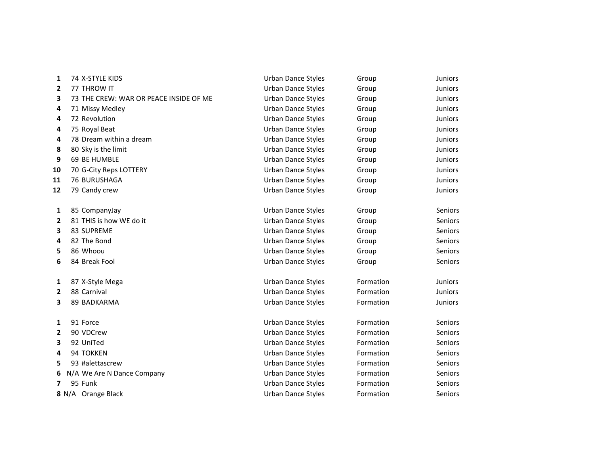| 1              | 74 X-STYLE KIDS                        | <b>Urban Dance Styles</b> | Group     | <b>Juniors</b> |
|----------------|----------------------------------------|---------------------------|-----------|----------------|
| $\overline{2}$ | 77 THROW IT                            | <b>Urban Dance Styles</b> | Group     | <b>Juniors</b> |
| 3              | 73 THE CREW: WAR OR PEACE INSIDE OF ME | <b>Urban Dance Styles</b> | Group     | <b>Juniors</b> |
| 4              | 71 Missy Medley                        | <b>Urban Dance Styles</b> | Group     | <b>Juniors</b> |
| 4              | 72 Revolution                          | Urban Dance Styles        | Group     | Juniors        |
| 4              | 75 Royal Beat                          | Urban Dance Styles        | Group     | <b>Juniors</b> |
| 4              | 78 Dream within a dream                | <b>Urban Dance Styles</b> | Group     | <b>Juniors</b> |
| 8              | 80 Sky is the limit                    | Urban Dance Styles        | Group     | Juniors        |
| 9              | 69 BE HUMBLE                           | Urban Dance Styles        | Group     | <b>Juniors</b> |
| 10             | 70 G-City Reps LOTTERY                 | <b>Urban Dance Styles</b> | Group     | <b>Juniors</b> |
| 11             | 76 BURUSHAGA                           | Urban Dance Styles        | Group     | Juniors        |
| 12             | 79 Candy crew                          | Urban Dance Styles        | Group     | <b>Juniors</b> |
|                |                                        |                           |           |                |
| 1              | 85 CompanyJay                          | <b>Urban Dance Styles</b> | Group     | Seniors        |
| 2              | 81 THIS is how WE do it                | <b>Urban Dance Styles</b> | Group     | Seniors        |
| 3              | 83 SUPREME                             | <b>Urban Dance Styles</b> | Group     | Seniors        |
| 4              | 82 The Bond                            | <b>Urban Dance Styles</b> | Group     | <b>Seniors</b> |
| 5              | 86 Whoou                               | <b>Urban Dance Styles</b> | Group     | <b>Seniors</b> |
| 6              | 84 Break Fool                          | <b>Urban Dance Styles</b> | Group     | Seniors        |
| 1              | 87 X-Style Mega                        | <b>Urban Dance Styles</b> | Formation | <b>Juniors</b> |
| $\overline{2}$ | 88 Carnival                            | Urban Dance Styles        | Formation | <b>Juniors</b> |
| 3              | 89 BADKARMA                            | Urban Dance Styles        | Formation | <b>Juniors</b> |
| 1              | 91 Force                               | Urban Dance Styles        | Formation | <b>Seniors</b> |
| 2              | 90 VDCrew                              | <b>Urban Dance Styles</b> | Formation | Seniors        |
| 3              | 92 UniTed                              | Urban Dance Styles        | Formation | Seniors        |
| 4              | 94 TOKKEN                              | Urban Dance Styles        | Formation | Seniors        |
| 5              | 93 #alettascrew                        | Urban Dance Styles        | Formation | Seniors        |
| 6              | N/A We Are N Dance Company             | Urban Dance Styles        | Formation | Seniors        |
| 7              | 95 Funk                                | <b>Urban Dance Styles</b> | Formation | <b>Seniors</b> |
|                | 8 N/A Orange Black                     | <b>Urban Dance Styles</b> | Formation | Seniors        |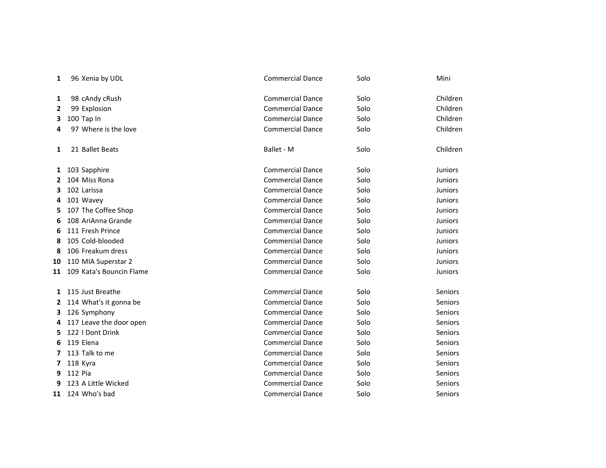| 1            | 96 Xenia by UDL          | <b>Commercial Dance</b> | Solo | Mini           |
|--------------|--------------------------|-------------------------|------|----------------|
| 1            | 98 cAndy cRush           | <b>Commercial Dance</b> | Solo | Children       |
| $\mathbf{2}$ | 99 Explosion             | <b>Commercial Dance</b> | Solo | Children       |
| 3            | 100 Tap In               | <b>Commercial Dance</b> | Solo | Children       |
| 4            | 97 Where is the love     | <b>Commercial Dance</b> | Solo | Children       |
| 1            | 21 Ballet Beats          | Ballet - M              | Solo | Children       |
| 1            | 103 Sapphire             | <b>Commercial Dance</b> | Solo | <b>Juniors</b> |
| 2            | 104 Miss Rona            | <b>Commercial Dance</b> | Solo | <b>Juniors</b> |
| 3            | 102 Larissa              | <b>Commercial Dance</b> | Solo | <b>Juniors</b> |
| 4            | 101 Wavey                | <b>Commercial Dance</b> | Solo | <b>Juniors</b> |
| 5            | 107 The Coffee Shop      | <b>Commercial Dance</b> | Solo | <b>Juniors</b> |
| 6            | 108 AriAnna Grande       | <b>Commercial Dance</b> | Solo | <b>Juniors</b> |
| 6            | 111 Fresh Prince         | <b>Commercial Dance</b> | Solo | <b>Juniors</b> |
| 8            | 105 Cold-blooded         | <b>Commercial Dance</b> | Solo | <b>Juniors</b> |
| 8            | 106 Freakum dress        | <b>Commercial Dance</b> | Solo | <b>Juniors</b> |
| 10           | 110 MIA Superstar 2      | <b>Commercial Dance</b> | Solo | <b>Juniors</b> |
| 11           | 109 Kata's Bouncin Flame | <b>Commercial Dance</b> | Solo | <b>Juniors</b> |
| $\mathbf{1}$ | 115 Just Breathe         | <b>Commercial Dance</b> | Solo | <b>Seniors</b> |
| 2            | 114 What's it gonna be   | <b>Commercial Dance</b> | Solo | Seniors        |
| 3.           | 126 Symphony             | <b>Commercial Dance</b> | Solo | <b>Seniors</b> |
| 4            | 117 Leave the door open  | <b>Commercial Dance</b> | Solo | Seniors        |
| 5.           | 122   Dont Drink         | <b>Commercial Dance</b> | Solo | Seniors        |
| 6            | 119 Elena                | <b>Commercial Dance</b> | Solo | Seniors        |
| 7            | 113 Talk to me           | <b>Commercial Dance</b> | Solo | <b>Seniors</b> |
| 7            | 118 Kyra                 | <b>Commercial Dance</b> | Solo | <b>Seniors</b> |
| 9            | 112 Pia                  | <b>Commercial Dance</b> | Solo | <b>Seniors</b> |
| 9            | 123 A Little Wicked      | <b>Commercial Dance</b> | Solo | <b>Seniors</b> |
| 11           | 124 Who's bad            | <b>Commercial Dance</b> | Solo | <b>Seniors</b> |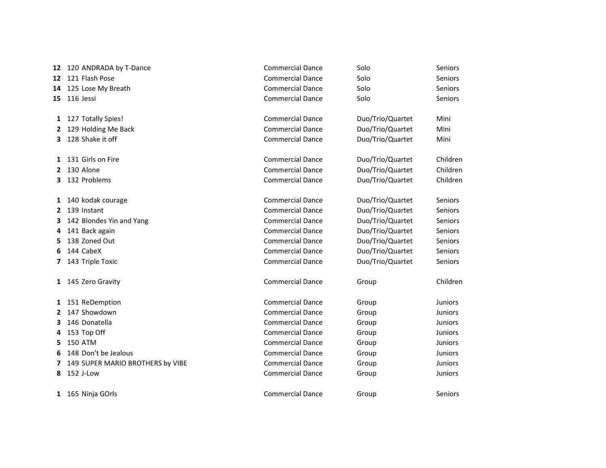|                  | 12 120 ANDRADA by T-Dance        | <b>Commercial Dance</b> | Solo             | Seniors        |
|------------------|----------------------------------|-------------------------|------------------|----------------|
| 12 <sup>12</sup> | 121 Flash Pose                   | <b>Commercial Dance</b> | Solo             | Seniors        |
| 14               | 125 Lose My Breath               | <b>Commercial Dance</b> | Solo             | Seniors        |
|                  | 15 116 Jessi                     | <b>Commercial Dance</b> | Solo             | <b>Seniors</b> |
|                  | 1 127 Totally Spies!             | <b>Commercial Dance</b> | Duo/Trio/Quartet | Mini           |
|                  | 2 129 Holding Me Back            | <b>Commercial Dance</b> | Duo/Trio/Quartet | Mini           |
|                  | 3 128 Shake it off               | <b>Commercial Dance</b> | Duo/Trio/Quartet | Mini           |
|                  | 1 131 Girls on Fire              | <b>Commercial Dance</b> | Duo/Trio/Quartet | Children       |
|                  | 2 130 Alone                      | <b>Commercial Dance</b> | Duo/Trio/Quartet | Children       |
| З.               | 132 Problems                     | <b>Commercial Dance</b> | Duo/Trio/Quartet | Children       |
| $\mathbf{1}$     | 140 kodak courage                | <b>Commercial Dance</b> | Duo/Trio/Quartet | Seniors        |
|                  | 2 139 Instant                    | <b>Commercial Dance</b> | Duo/Trio/Quartet | <b>Seniors</b> |
|                  | 3 142 Blondes Yin and Yang       | <b>Commercial Dance</b> | Duo/Trio/Quartet | <b>Seniors</b> |
| 4                | 141 Back again                   | <b>Commercial Dance</b> | Duo/Trio/Quartet | Seniors        |
| 5.               | 138 Zoned Out                    | <b>Commercial Dance</b> | Duo/Trio/Quartet | Seniors        |
| 6                | 144 CabeX                        | <b>Commercial Dance</b> | Duo/Trio/Quartet | Seniors        |
| 7                | 143 Triple Toxic                 | <b>Commercial Dance</b> | Duo/Trio/Quartet | Seniors        |
|                  | 1 145 Zero Gravity               | <b>Commercial Dance</b> | Group            | Children       |
|                  | 1 151 ReDemption                 | <b>Commercial Dance</b> | Group            | <b>Juniors</b> |
|                  | 2 147 Showdown                   | <b>Commercial Dance</b> | Group            | Juniors        |
| 3.               | 146 Donatella                    | <b>Commercial Dance</b> | Group            | <b>Juniors</b> |
| 4                | 153 Top Off                      | <b>Commercial Dance</b> | Group            | <b>Juniors</b> |
| 5.               | <b>150 ATM</b>                   | <b>Commercial Dance</b> | Group            | Juniors        |
| 6                | 148 Don't be Jealous             | <b>Commercial Dance</b> | Group            | Juniors        |
| 7                | 149 SUPER MARIO BROTHERS by VIBE | <b>Commercial Dance</b> | Group            | <b>Juniors</b> |
| 8                | 152 J-Low                        | <b>Commercial Dance</b> | Group            | <b>Juniors</b> |
|                  | 1 165 Ninja GOrls                | <b>Commercial Dance</b> | Group            | Seniors        |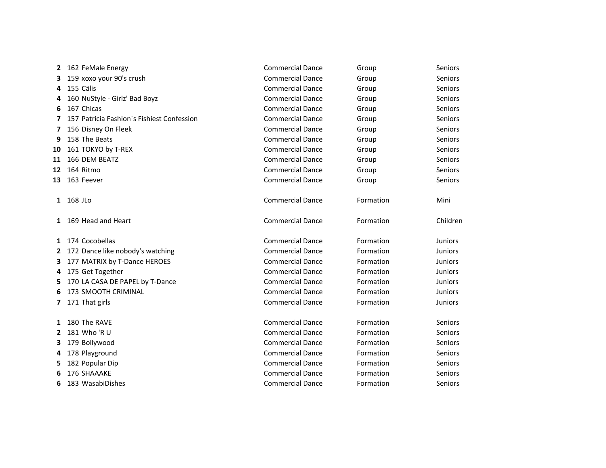| 2  | 162 FeMale Energy                          | <b>Commercial Dance</b> | Group     | Seniors        |
|----|--------------------------------------------|-------------------------|-----------|----------------|
| 3  | 159 xoxo your 90's crush                   | <b>Commercial Dance</b> | Group     | Seniors        |
| 4  | 155 Cälis                                  | <b>Commercial Dance</b> | Group     | Seniors        |
| 4  | 160 NuStyle - Girlz' Bad Boyz              | <b>Commercial Dance</b> | Group     | Seniors        |
| 6  | 167 Chicas                                 | <b>Commercial Dance</b> | Group     | Seniors        |
| 7  | 157 Patricia Fashion's Fishiest Confession | <b>Commercial Dance</b> | Group     | <b>Seniors</b> |
| 7  | 156 Disney On Fleek                        | <b>Commercial Dance</b> | Group     | <b>Seniors</b> |
| 9  | 158 The Beats                              | <b>Commercial Dance</b> | Group     | Seniors        |
| 10 | 161 TOKYO by T-REX                         | <b>Commercial Dance</b> | Group     | Seniors        |
| 11 | 166 DEM BEATZ                              | <b>Commercial Dance</b> | Group     | Seniors        |
| 12 | 164 Ritmo                                  | <b>Commercial Dance</b> | Group     | Seniors        |
| 13 | 163 Feever                                 | <b>Commercial Dance</b> | Group     | <b>Seniors</b> |
| 1  | 168 JLo                                    | <b>Commercial Dance</b> | Formation | Mini           |
| 1  | 169 Head and Heart                         | <b>Commercial Dance</b> | Formation | Children       |
| 1  | 174 Cocobellas                             | <b>Commercial Dance</b> | Formation | <b>Juniors</b> |
| 2  | 172 Dance like nobody's watching           | <b>Commercial Dance</b> | Formation | <b>Juniors</b> |
| 3. | 177 MATRIX by T-Dance HEROES               | <b>Commercial Dance</b> | Formation | <b>Juniors</b> |
|    | 4 175 Get Together                         | <b>Commercial Dance</b> | Formation | <b>Juniors</b> |
| 5. | 170 LA CASA DE PAPEL by T-Dance            | <b>Commercial Dance</b> | Formation | <b>Juniors</b> |
| 6  | 173 SMOOTH CRIMINAL                        | <b>Commercial Dance</b> | Formation | <b>Juniors</b> |
| 7  | 171 That girls                             | <b>Commercial Dance</b> | Formation | <b>Juniors</b> |
| 1  | 180 The RAVE                               | <b>Commercial Dance</b> | Formation | Seniors        |
| 2  | 181 Who 'R U                               | <b>Commercial Dance</b> | Formation | Seniors        |
| 3. | 179 Bollywood                              | <b>Commercial Dance</b> | Formation | Seniors        |
| 4  | 178 Playground                             | <b>Commercial Dance</b> | Formation | <b>Seniors</b> |
| 5. | 182 Popular Dip                            | <b>Commercial Dance</b> | Formation | Seniors        |
| 6  | 176 SHAAAKE                                | <b>Commercial Dance</b> | Formation | Seniors        |
| 6  | 183 WasabiDishes                           | <b>Commercial Dance</b> | Formation | <b>Seniors</b> |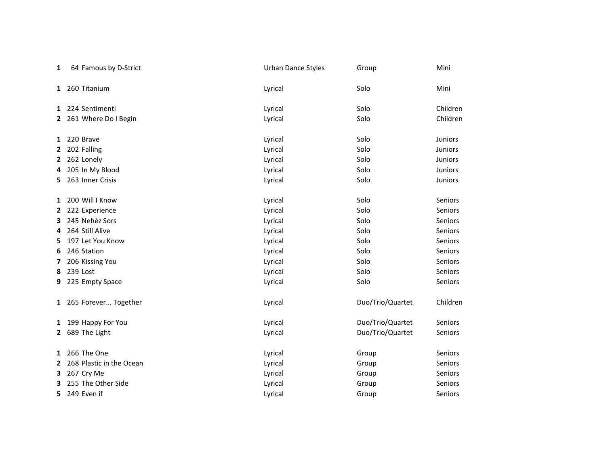| 1            | 64 Famous by D-Strict    | <b>Urban Dance Styles</b> | Group            | Mini           |
|--------------|--------------------------|---------------------------|------------------|----------------|
| 1            | 260 Titanium             | Lyrical                   | Solo             | Mini           |
|              | 1 224 Sentimenti         | Lyrical                   | Solo             | Children       |
|              | 2 261 Where Do I Begin   | Lyrical                   | Solo             | Children       |
| 1            | 220 Brave                | Lyrical                   | Solo             | <b>Juniors</b> |
| 2            | 202 Falling              | Lyrical                   | Solo             | Juniors        |
| 2            | 262 Lonely               | Lyrical                   | Solo             | Juniors        |
| 4            | 205 In My Blood          | Lyrical                   | Solo             | Juniors        |
| 5.           | 263 Inner Crisis         | Lyrical                   | Solo             | Juniors        |
| 1            | 200 Will I Know          | Lyrical                   | Solo             | Seniors        |
| 2            | 222 Experience           | Lyrical                   | Solo             | Seniors        |
| 3            | 245 Nehéz Sors           | Lyrical                   | Solo             | Seniors        |
| 4            | 264 Still Alive          | Lyrical                   | Solo             | Seniors        |
| 5            | 197 Let You Know         | Lyrical                   | Solo             | Seniors        |
| 6            | 246 Station              | Lyrical                   | Solo             | Seniors        |
| 7            | 206 Kissing You          | Lyrical                   | Solo             | Seniors        |
| 8            | 239 Lost                 | Lyrical                   | Solo             | Seniors        |
| 9            | 225 Empty Space          | Lyrical                   | Solo             | Seniors        |
|              | 1 265 Forever Together   | Lyrical                   | Duo/Trio/Quartet | Children       |
|              | 1 199 Happy For You      | Lyrical                   | Duo/Trio/Quartet | Seniors        |
| $\mathbf{2}$ | 689 The Light            | Lyrical                   | Duo/Trio/Quartet | Seniors        |
| 1            | 266 The One              | Lyrical                   | Group            | Seniors        |
| 2            | 268 Plastic in the Ocean | Lyrical                   | Group            | Seniors        |
| 3            | 267 Cry Me               | Lyrical                   | Group            | Seniors        |
| 3            | 255 The Other Side       | Lyrical                   | Group            | Seniors        |
| 5.           | 249 Even if              | Lyrical                   | Group            | Seniors        |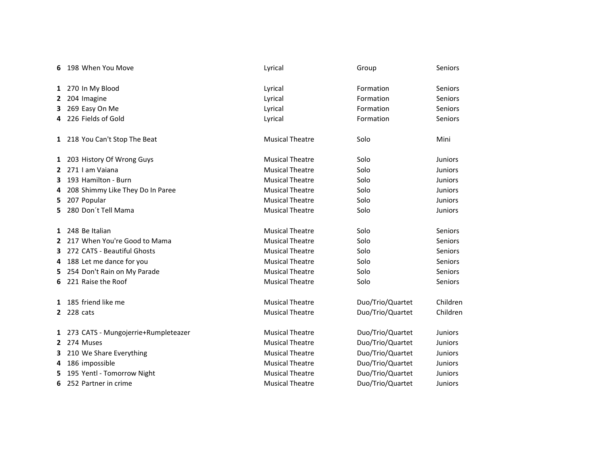| 6            | 198 When You Move                     | Lyrical                | Group            | <b>Seniors</b> |
|--------------|---------------------------------------|------------------------|------------------|----------------|
|              | 1 270 In My Blood                     | Lyrical                | Formation        | Seniors        |
| $\mathbf{z}$ | 204 Imagine                           | Lyrical                | Formation        | Seniors        |
| 3            | 269 Easy On Me                        | Lyrical                | Formation        | Seniors        |
|              | 4 226 Fields of Gold                  | Lyrical                | Formation        | Seniors        |
|              | 1 218 You Can't Stop The Beat         | <b>Musical Theatre</b> | Solo             | Mini           |
|              | 1 203 History Of Wrong Guys           | <b>Musical Theatre</b> | Solo             | <b>Juniors</b> |
| $\mathbf{2}$ | 271 I am Vaiana                       | <b>Musical Theatre</b> | Solo             | Juniors        |
| 3            | 193 Hamilton - Burn                   | <b>Musical Theatre</b> | Solo             | <b>Juniors</b> |
| 4            | 208 Shimmy Like They Do In Paree      | <b>Musical Theatre</b> | Solo             | <b>Juniors</b> |
| 5            | 207 Popular                           | <b>Musical Theatre</b> | Solo             | <b>Juniors</b> |
| 5.           | 280 Don't Tell Mama                   | <b>Musical Theatre</b> | Solo             | <b>Juniors</b> |
|              | 1 248 Be Italian                      | <b>Musical Theatre</b> | Solo             | Seniors        |
| 2            | 217 When You're Good to Mama          | <b>Musical Theatre</b> | Solo             | Seniors        |
| 3            | 272 CATS - Beautiful Ghosts           | <b>Musical Theatre</b> | Solo             | Seniors        |
| 4            | 188 Let me dance for you              | <b>Musical Theatre</b> | Solo             | <b>Seniors</b> |
| 5.           | 254 Don't Rain on My Parade           | <b>Musical Theatre</b> | Solo             | Seniors        |
| 6            | 221 Raise the Roof                    | <b>Musical Theatre</b> | Solo             | <b>Seniors</b> |
|              | 1 185 friend like me                  | <b>Musical Theatre</b> | Duo/Trio/Quartet | Children       |
|              | 2 228 cats                            | <b>Musical Theatre</b> | Duo/Trio/Quartet | Children       |
|              | 1 273 CATS - Mungojerrie+Rumpleteazer | <b>Musical Theatre</b> | Duo/Trio/Quartet | <b>Juniors</b> |
|              | 2 274 Muses                           | <b>Musical Theatre</b> | Duo/Trio/Quartet | <b>Juniors</b> |
| 3            | 210 We Share Everything               | <b>Musical Theatre</b> | Duo/Trio/Quartet | <b>Juniors</b> |
| 4            | 186 impossible                        | <b>Musical Theatre</b> | Duo/Trio/Quartet | <b>Juniors</b> |
| 5            | 195 Yentl - Tomorrow Night            | <b>Musical Theatre</b> | Duo/Trio/Quartet | <b>Juniors</b> |
| 6            | 252 Partner in crime                  | <b>Musical Theatre</b> | Duo/Trio/Quartet | <b>Juniors</b> |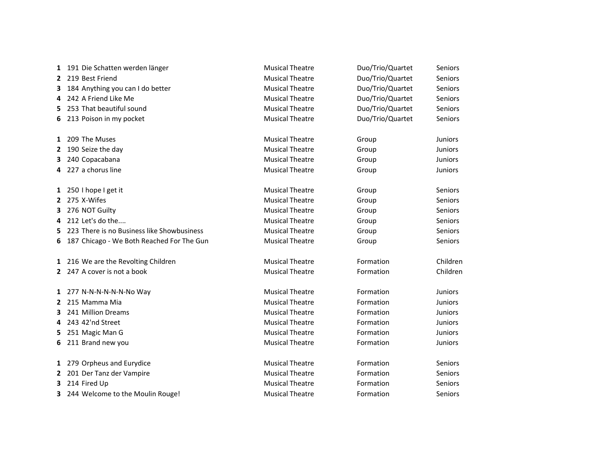| 1            | 191 Die Schatten werden länger             | <b>Musical Theatre</b> | Duo/Trio/Quartet | Seniors        |
|--------------|--------------------------------------------|------------------------|------------------|----------------|
| $\mathbf{2}$ | 219 Best Friend                            | <b>Musical Theatre</b> | Duo/Trio/Quartet | <b>Seniors</b> |
| 3.           | 184 Anything you can I do better           | <b>Musical Theatre</b> | Duo/Trio/Quartet | <b>Seniors</b> |
| 4            | 242 A Friend Like Me                       | <b>Musical Theatre</b> | Duo/Trio/Quartet | Seniors        |
| 5.           | 253 That beautiful sound                   | <b>Musical Theatre</b> | Duo/Trio/Quartet | Seniors        |
| 6.           | 213 Poison in my pocket                    | <b>Musical Theatre</b> | Duo/Trio/Quartet | Seniors        |
|              | 1 209 The Muses                            | <b>Musical Theatre</b> | Group            | <b>Juniors</b> |
| 2            | 190 Seize the day                          | <b>Musical Theatre</b> | Group            | Juniors        |
| 3            | 240 Copacabana                             | <b>Musical Theatre</b> | Group            | Juniors        |
|              | 4 227 a chorus line                        | <b>Musical Theatre</b> | Group            | <b>Juniors</b> |
|              | 1 250 I hope I get it                      | <b>Musical Theatre</b> | Group            | Seniors        |
| 2            | 275 X-Wifes                                | <b>Musical Theatre</b> | Group            | Seniors        |
|              | 3 276 NOT Guilty                           | <b>Musical Theatre</b> | Group            | Seniors        |
| 4            | 212 Let's do the                           | <b>Musical Theatre</b> | Group            | Seniors        |
| 5            | 223 There is no Business like Showbusiness | <b>Musical Theatre</b> | Group            | Seniors        |
| 6.           | 187 Chicago - We Both Reached For The Gun  | <b>Musical Theatre</b> | Group            | Seniors        |
|              | 1 216 We are the Revolting Children        | <b>Musical Theatre</b> | Formation        | Children       |
|              | 2 247 A cover is not a book                | <b>Musical Theatre</b> | Formation        | Children       |
|              | 1 277 N-N-N-N-N-N-No Way                   | <b>Musical Theatre</b> | Formation        | <b>Juniors</b> |
|              | 2 215 Mamma Mia                            | <b>Musical Theatre</b> | Formation        | <b>Juniors</b> |
| 3            | 241 Million Dreams                         | <b>Musical Theatre</b> | Formation        | Juniors        |
| 4            | 243 42'nd Street                           | <b>Musical Theatre</b> | Formation        | <b>Juniors</b> |
| 5.           | 251 Magic Man G                            | <b>Musical Theatre</b> | Formation        | <b>Juniors</b> |
| 6            | 211 Brand new you                          | <b>Musical Theatre</b> | Formation        | <b>Juniors</b> |
|              | 1 279 Orpheus and Eurydice                 | <b>Musical Theatre</b> | Formation        | Seniors        |
| 2            | 201 Der Tanz der Vampire                   | <b>Musical Theatre</b> | Formation        | Seniors        |
| 3.           | 214 Fired Up                               | <b>Musical Theatre</b> | Formation        | Seniors        |
| 3            | 244 Welcome to the Moulin Rouge!           | <b>Musical Theatre</b> | Formation        | Seniors        |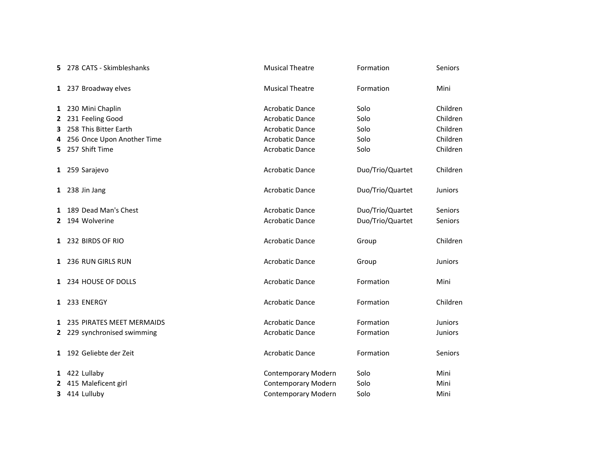| 5.             | 278 CATS - Skimbleshanks    | <b>Musical Theatre</b>     | Formation        | Seniors        |
|----------------|-----------------------------|----------------------------|------------------|----------------|
|                | 1 237 Broadway elves        | <b>Musical Theatre</b>     | Formation        | Mini           |
|                | 1 230 Mini Chaplin          | <b>Acrobatic Dance</b>     | Solo             | Children       |
| $\mathbf{2}$   | 231 Feeling Good            | <b>Acrobatic Dance</b>     | Solo             | Children       |
| 3              | 258 This Bitter Earth       | <b>Acrobatic Dance</b>     | Solo             | Children       |
| 4              | 256 Once Upon Another Time  | <b>Acrobatic Dance</b>     | Solo             | Children       |
| 5.             | 257 Shift Time              | <b>Acrobatic Dance</b>     | Solo             | Children       |
|                | 1 259 Sarajevo              | <b>Acrobatic Dance</b>     | Duo/Trio/Quartet | Children       |
|                | 1 238 Jin Jang              | <b>Acrobatic Dance</b>     | Duo/Trio/Quartet | Juniors        |
| 1              | 189 Dead Man's Chest        | <b>Acrobatic Dance</b>     | Duo/Trio/Quartet | <b>Seniors</b> |
| 2              | 194 Wolverine               | <b>Acrobatic Dance</b>     | Duo/Trio/Quartet | Seniors        |
|                | 1 232 BIRDS OF RIO          | <b>Acrobatic Dance</b>     | Group            | Children       |
|                | 1 236 RUN GIRLS RUN         | <b>Acrobatic Dance</b>     | Group            | <b>Juniors</b> |
|                | 1 234 HOUSE OF DOLLS        | <b>Acrobatic Dance</b>     | Formation        | Mini           |
|                | 1 233 ENERGY                | <b>Acrobatic Dance</b>     | Formation        | Children       |
|                | 1 235 PIRATES MEET MERMAIDS | <b>Acrobatic Dance</b>     | Formation        | <b>Juniors</b> |
|                | 2 229 synchronised swimming | <b>Acrobatic Dance</b>     | Formation        | <b>Juniors</b> |
|                | 1 192 Geliebte der Zeit     | <b>Acrobatic Dance</b>     | Formation        | <b>Seniors</b> |
|                | 1 422 Lullaby               | Contemporary Modern        | Solo             | Mini           |
| $\overline{2}$ | 415 Maleficent girl         | <b>Contemporary Modern</b> | Solo             | Mini           |
| 3              | 414 Lulluby                 | Contemporary Modern        | Solo             | Mini           |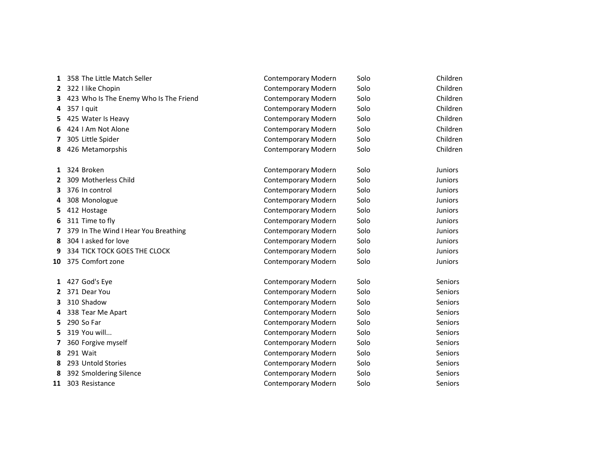| 1  | 358 The Little Match Seller            | Contemporary Modern        | Solo | Children       |
|----|----------------------------------------|----------------------------|------|----------------|
| 2  | 322 I like Chopin                      | Contemporary Modern        | Solo | Children       |
| 3. | 423 Who Is The Enemy Who Is The Friend | Contemporary Modern        | Solo | Children       |
| 4  | 357 I quit                             | Contemporary Modern        | Solo | Children       |
| 5. | 425 Water Is Heavy                     | Contemporary Modern        | Solo | Children       |
| 6  | 424 I Am Not Alone                     | Contemporary Modern        | Solo | Children       |
| 7  | 305 Little Spider                      | Contemporary Modern        | Solo | Children       |
| 8  | 426 Metamorpshis                       | Contemporary Modern        | Solo | Children       |
| 1  | 324 Broken                             | <b>Contemporary Modern</b> | Solo | <b>Juniors</b> |
| 2  | 309 Motherless Child                   | Contemporary Modern        | Solo | <b>Juniors</b> |
| З. | 376 In control                         | Contemporary Modern        | Solo | <b>Juniors</b> |
| 4  | 308 Monologue                          | Contemporary Modern        | Solo | <b>Juniors</b> |
| 5. | 412 Hostage                            | Contemporary Modern        | Solo | Juniors        |
| 6  | 311 Time to fly                        | <b>Contemporary Modern</b> | Solo | Juniors        |
| 7  | 379 In The Wind I Hear You Breathing   | Contemporary Modern        | Solo | <b>Juniors</b> |
| 8  | 304 I asked for love                   | Contemporary Modern        | Solo | <b>Juniors</b> |
| 9  | 334 TICK TOCK GOES THE CLOCK           | Contemporary Modern        | Solo | Juniors        |
| 10 | 375 Comfort zone                       | Contemporary Modern        | Solo | <b>Juniors</b> |
|    | 1 427 God's Eye                        | Contemporary Modern        | Solo | <b>Seniors</b> |
| 2  | 371 Dear You                           | Contemporary Modern        | Solo | Seniors        |
| 3  | 310 Shadow                             | Contemporary Modern        | Solo | Seniors        |
| 4  | 338 Tear Me Apart                      | Contemporary Modern        | Solo | Seniors        |
| 5. | 290 So Far                             | Contemporary Modern        | Solo | <b>Seniors</b> |
| 5. | 319 You will                           | Contemporary Modern        | Solo | <b>Seniors</b> |
| 7  | 360 Forgive myself                     | Contemporary Modern        | Solo | Seniors        |
| 8  | 291 Wait                               | Contemporary Modern        | Solo | <b>Seniors</b> |
| 8  | 293 Untold Stories                     | Contemporary Modern        | Solo | Seniors        |
| 8  | 392 Smoldering Silence                 | Contemporary Modern        | Solo | Seniors        |
| 11 | 303 Resistance                         | Contemporary Modern        | Solo | <b>Seniors</b> |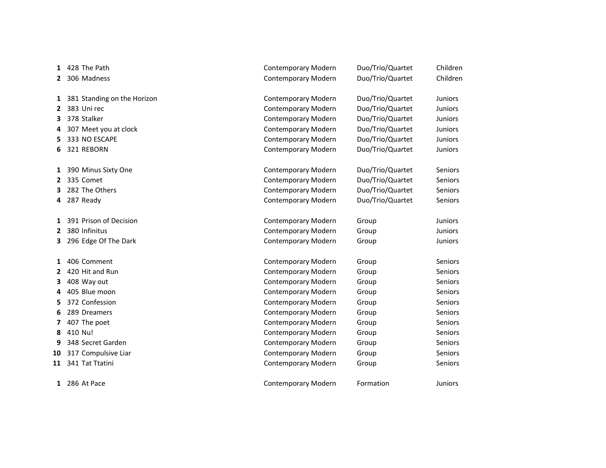| 1            | 428 The Path                | <b>Contemporary Modern</b> | Duo/Trio/Quartet | Children       |
|--------------|-----------------------------|----------------------------|------------------|----------------|
| 2            | 306 Madness                 | Contemporary Modern        | Duo/Trio/Quartet | Children       |
|              |                             |                            |                  |                |
| $\mathbf{1}$ | 381 Standing on the Horizon | Contemporary Modern        | Duo/Trio/Quartet | <b>Juniors</b> |
| 2            | 383 Uni rec                 | Contemporary Modern        | Duo/Trio/Quartet | <b>Juniors</b> |
| 3            | 378 Stalker                 | Contemporary Modern        | Duo/Trio/Quartet | <b>Juniors</b> |
| 4            | 307 Meet you at clock       | Contemporary Modern        | Duo/Trio/Quartet | Juniors        |
| 5            | 333 NO ESCAPE               | Contemporary Modern        | Duo/Trio/Quartet | Juniors        |
| 6            | 321 REBORN                  | Contemporary Modern        | Duo/Trio/Quartet | <b>Juniors</b> |
|              |                             |                            |                  |                |
|              | 1 390 Minus Sixty One       | Contemporary Modern        | Duo/Trio/Quartet | <b>Seniors</b> |
| 2            | 335 Comet                   | Contemporary Modern        | Duo/Trio/Quartet | <b>Seniors</b> |
| 3            | 282 The Others              | Contemporary Modern        | Duo/Trio/Quartet | Seniors        |
| 4            | 287 Ready                   | Contemporary Modern        | Duo/Trio/Quartet | Seniors        |
|              |                             |                            |                  |                |
| 1            | 391 Prison of Decision      | Contemporary Modern        | Group            | <b>Juniors</b> |
| $\mathbf{2}$ | 380 Infinitus               | Contemporary Modern        | Group            | Juniors        |
| 3.           | 296 Edge Of The Dark        | Contemporary Modern        | Group            | Juniors        |
|              |                             |                            |                  |                |
| 1            | 406 Comment                 | Contemporary Modern        | Group            | <b>Seniors</b> |
| 2            | 420 Hit and Run             | <b>Contemporary Modern</b> | Group            | Seniors        |
| 3            | 408 Way out                 | Contemporary Modern        | Group            | Seniors        |
| 4            | 405 Blue moon               | Contemporary Modern        | Group            | Seniors        |
| 5            | 372 Confession              | Contemporary Modern        | Group            | Seniors        |
| 6            | 289 Dreamers                | Contemporary Modern        | Group            | Seniors        |
| 7            | 407 The poet                | Contemporary Modern        | Group            | Seniors        |
| 8            | 410 Nu!                     | Contemporary Modern        | Group            | <b>Seniors</b> |
| 9            | 348 Secret Garden           | Contemporary Modern        | Group            | Seniors        |
| 10           | 317 Compulsive Liar         | Contemporary Modern        | Group            | <b>Seniors</b> |
| 11           | 341 Tat Ttatini             | Contemporary Modern        | Group            | Seniors        |
|              |                             |                            |                  |                |
|              | 1 286 At Pace               | Contemporary Modern        | Formation        | <b>Juniors</b> |
|              |                             |                            |                  |                |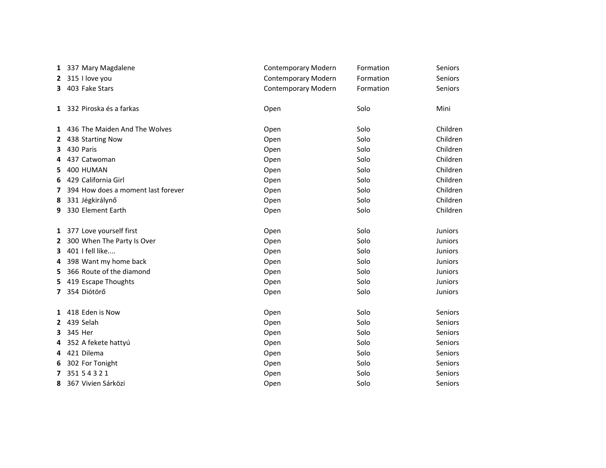|              | 1 337 Mary Magdalene               | Contemporary Modern | Formation | Seniors        |
|--------------|------------------------------------|---------------------|-----------|----------------|
|              | 2 315 I love you                   | Contemporary Modern | Formation | Seniors        |
|              | 3 403 Fake Stars                   | Contemporary Modern | Formation | Seniors        |
|              | 1 332 Piroska és a farkas          | Open                | Solo      | Mini           |
|              | 1 436 The Maiden And The Wolves    | Open                | Solo      | Children       |
| 2            | 438 Starting Now                   | Open                | Solo      | Children       |
| 3            | 430 Paris                          | Open                | Solo      | Children       |
| 4            | 437 Catwoman                       | Open                | Solo      | Children       |
| 5            | 400 HUMAN                          | Open                | Solo      | Children       |
| 6            | 429 California Girl                | Open                | Solo      | Children       |
| 7            | 394 How does a moment last forever | Open                | Solo      | Children       |
| 8            | 331 Jégkirálynő                    | Open                | Solo      | Children       |
| 9            | 330 Element Earth                  | Open                | Solo      | Children       |
|              | 1 377 Love yourself first          | Open                | Solo      | Juniors        |
| 2            | 300 When The Party Is Over         | Open                | Solo      | <b>Juniors</b> |
| 3            | 401 I fell like                    | Open                | Solo      | <b>Juniors</b> |
| 4            | 398 Want my home back              | Open                | Solo      | <b>Juniors</b> |
| 5.           | 366 Route of the diamond           | Open                | Solo      | <b>Juniors</b> |
| 5            | 419 Escape Thoughts                | Open                | Solo      | <b>Juniors</b> |
|              | 7 354 Diótörő                      | Open                | Solo      | <b>Juniors</b> |
|              | 1 418 Eden is Now                  | Open                | Solo      | <b>Seniors</b> |
| $\mathbf{2}$ | 439 Selah                          | Open                | Solo      | Seniors        |
| 3            | 345 Her                            | Open                | Solo      | Seniors        |
|              | 4 352 A fekete hattyú              | Open                | Solo      | <b>Seniors</b> |
|              | 4 421 Dilema                       | Open                | Solo      | Seniors        |
| 6            | 302 For Tonight                    | Open                | Solo      | <b>Seniors</b> |
|              | 7 351 543 21                       | Open                | Solo      | Seniors        |
| 8            | 367 Vivien Sárközi                 | Open                | Solo      | Seniors        |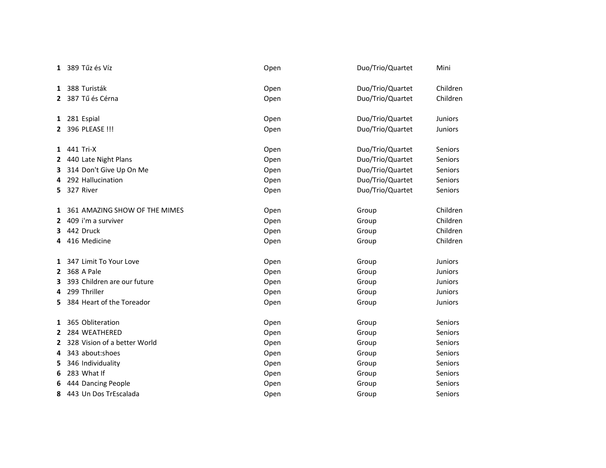|              | 1 389 Tűz és Víz              | Open | Duo/Trio/Quartet | Mini           |
|--------------|-------------------------------|------|------------------|----------------|
| 1            | 388 Turisták                  | Open | Duo/Trio/Quartet | Children       |
|              | 2 387 Tű és Cérna             | Open | Duo/Trio/Quartet | Children       |
|              | 1 281 Espial                  | Open | Duo/Trio/Quartet | Juniors        |
| $\mathbf{2}$ | 396 PLEASE !!!                | Open | Duo/Trio/Quartet | Juniors        |
|              | 1 441 Tri-X                   | Open | Duo/Trio/Quartet | <b>Seniors</b> |
| 2            | 440 Late Night Plans          | Open | Duo/Trio/Quartet | Seniors        |
| 3            | 314 Don't Give Up On Me       | Open | Duo/Trio/Quartet | Seniors        |
| 4            | 292 Hallucination             | Open | Duo/Trio/Quartet | Seniors        |
| 5.           | 327 River                     | Open | Duo/Trio/Quartet | Seniors        |
| 1            | 361 AMAZING SHOW OF THE MIMES | Open | Group            | Children       |
| 2            | 409 i'm a surviver            | Open | Group            | Children       |
| 3            | 442 Druck                     | Open | Group            | Children       |
| 4            | 416 Medicine                  | Open | Group            | Children       |
| 1            | 347 Limit To Your Love        | Open | Group            | <b>Juniors</b> |
| $\mathbf{2}$ | 368 A Pale                    | Open | Group            | <b>Juniors</b> |
| 3            | 393 Children are our future   | Open | Group            | <b>Juniors</b> |
| 4            | 299 Thriller                  | Open | Group            | Juniors        |
| 5            | 384 Heart of the Toreador     | Open | Group            | Juniors        |
| 1            | 365 Obliteration              | Open | Group            | <b>Seniors</b> |
|              | 2 284 WEATHERED               | Open | Group            | <b>Seniors</b> |
| 2            | 328 Vision of a better World  | Open | Group            | Seniors        |
| 4            | 343 about:shoes               | Open | Group            | Seniors        |
| 5            | 346 Individuality             | Open | Group            | <b>Seniors</b> |
| 6            | 283 What If                   | Open | Group            | <b>Seniors</b> |
| 6            | 444 Dancing People            | Open | Group            | Seniors        |
| 8            | 443 Un Dos TrEscalada         | Open | Group            | Seniors        |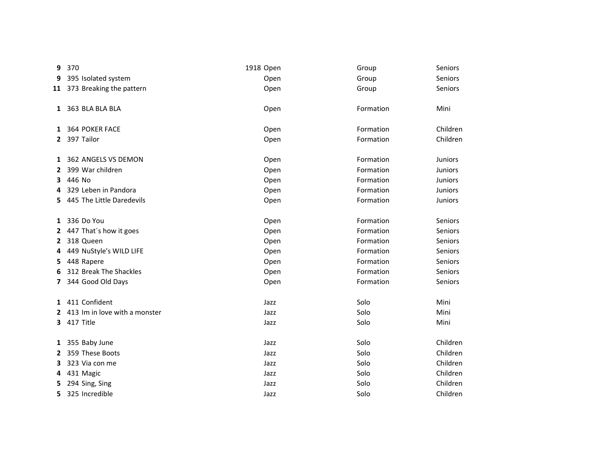| 9 | 370                             | 1918 Open | Group     | Seniors        |
|---|---------------------------------|-----------|-----------|----------------|
| 9 | 395 Isolated system             | Open      | Group     | Seniors        |
|   | 11 373 Breaking the pattern     | Open      | Group     | <b>Seniors</b> |
|   | 1 363 BLA BLA BLA               | Open      | Formation | Mini           |
|   | 1 364 POKER FACE                | Open      | Formation | Children       |
|   | 2 397 Tailor                    | Open      | Formation | Children       |
|   | 1 362 ANGELS VS DEMON           | Open      | Formation | <b>Juniors</b> |
|   | 2 399 War children              | Open      | Formation | <b>Juniors</b> |
|   | 3 446 No                        | Open      | Formation | Juniors        |
| 4 | 329 Leben in Pandora            | Open      | Formation | <b>Juniors</b> |
|   | 5 445 The Little Daredevils     | Open      | Formation | <b>Juniors</b> |
|   | 1 336 Do You                    | Open      | Formation | Seniors        |
|   | 2 447 That's how it goes        | Open      | Formation | Seniors        |
|   | 2 318 Queen                     | Open      | Formation | Seniors        |
| 4 | 449 NuStyle's WILD LIFE         | Open      | Formation | Seniors        |
| 5 | 448 Rapere                      | Open      | Formation | Seniors        |
| 6 | 312 Break The Shackles          | Open      | Formation | <b>Seniors</b> |
|   | 7 344 Good Old Days             | Open      | Formation | Seniors        |
|   | 1 411 Confident                 | Jazz      | Solo      | Mini           |
|   | 2 413 Im in love with a monster | Jazz      | Solo      | Mini           |
|   | <b>3</b> 417 Title              | Jazz      | Solo      | Mini           |
|   | 1 355 Baby June                 | Jazz      | Solo      | Children       |
| 2 | 359 These Boots                 | Jazz      | Solo      | Children       |
| 3 | 323 Via con me                  | Jazz      | Solo      | Children       |
| 4 | 431 Magic                       | Jazz      | Solo      | Children       |
| 5 | 294 Sing, Sing                  | Jazz      | Solo      | Children       |
| 5 | 325 Incredible                  | Jazz      | Solo      | Children       |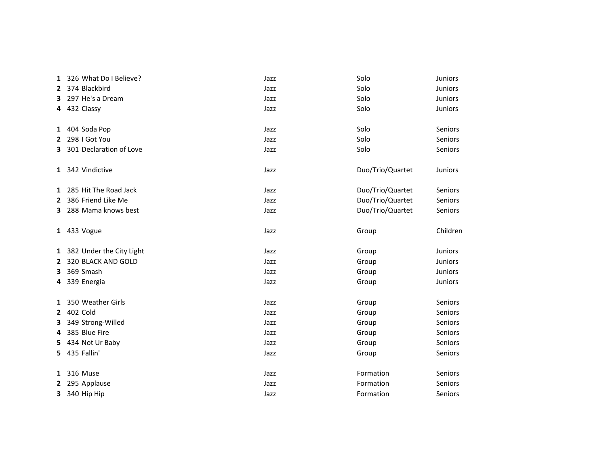| 1  | 326 What Do I Believe?     | Jazz | Solo             | Juniors        |
|----|----------------------------|------|------------------|----------------|
|    | 2 374 Blackbird            | Jazz | Solo             | Juniors        |
| 3. | 297 He's a Dream           | Jazz | Solo             | <b>Juniors</b> |
|    | 4 432 Classy               | Jazz | Solo             | Juniors        |
|    | 1 404 Soda Pop             | Jazz | Solo             | Seniors        |
|    | 2 298   Got You            | Jazz | Solo             | <b>Seniors</b> |
| 3  | 301 Declaration of Love    | Jazz | Solo             | Seniors        |
|    | 1 342 Vindictive           | Jazz | Duo/Trio/Quartet | <b>Juniors</b> |
|    | 1 285 Hit The Road Jack    | Jazz | Duo/Trio/Quartet | <b>Seniors</b> |
|    | 2 386 Friend Like Me       | Jazz | Duo/Trio/Quartet | Seniors        |
| 3. | 288 Mama knows best        | Jazz | Duo/Trio/Quartet | Seniors        |
|    | 1 433 Vogue                | Jazz | Group            | Children       |
|    | 1 382 Under the City Light | Jazz | Group            | <b>Juniors</b> |
| 2  | 320 BLACK AND GOLD         | Jazz | Group            | Juniors        |
| 3  | 369 Smash                  | Jazz | Group            | Juniors        |
|    | 4 339 Energia              | Jazz | Group            | Juniors        |
| 1  | 350 Weather Girls          | Jazz | Group            | <b>Seniors</b> |
| 2  | 402 Cold                   | Jazz | Group            | Seniors        |
| 3  | 349 Strong-Willed          | Jazz | Group            | Seniors        |
| 4  | 385 Blue Fire              | Jazz | Group            | <b>Seniors</b> |
| 5. | 434 Not Ur Baby            | Jazz | Group            | Seniors        |
|    | 5 435 Fallin'              | Jazz | Group            | Seniors        |
|    | 1 316 Muse                 | Jazz | Formation        | Seniors        |
|    | 2 295 Applause             | Jazz | Formation        | <b>Seniors</b> |
|    | 3 340 Hip Hip              | Jazz | Formation        | Seniors        |